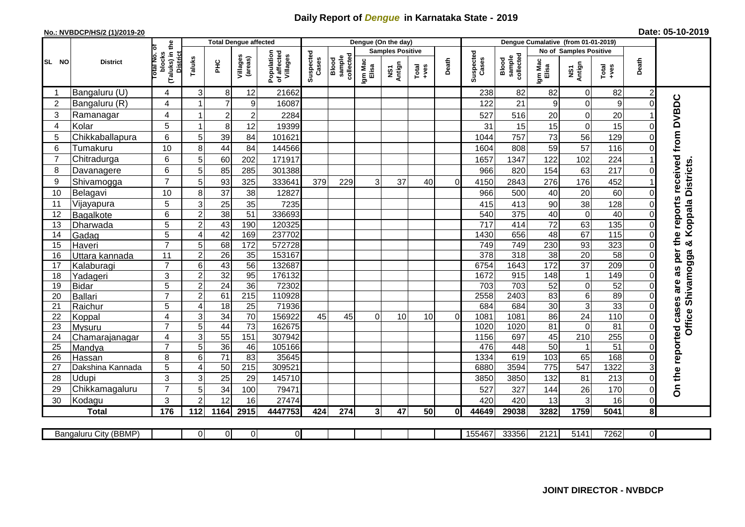## **Daily Report of** *Dengue* **in Karnataka State - 2019**

## **No.: NVBDCP/HS/2 (1)/2019-20**

|  |  | Date: 05-10-2019 |
|--|--|------------------|
|--|--|------------------|

|                |                       |                                                   | <b>Total Dengue affected</b> |                 |                     |                                       | Dengue (On the day) |                              |                  |                                   |                                                                                                                                                                                                                                                                                                                                                                                                             |                |                    | Dengue Cumalative (from 01-01-2019) |                  |                               |                 |                |                                        |  |
|----------------|-----------------------|---------------------------------------------------|------------------------------|-----------------|---------------------|---------------------------------------|---------------------|------------------------------|------------------|-----------------------------------|-------------------------------------------------------------------------------------------------------------------------------------------------------------------------------------------------------------------------------------------------------------------------------------------------------------------------------------------------------------------------------------------------------------|----------------|--------------------|-------------------------------------|------------------|-------------------------------|-----------------|----------------|----------------------------------------|--|
|                |                       | ō                                                 |                              |                 |                     |                                       |                     |                              |                  | <b>Samples Positive</b>           |                                                                                                                                                                                                                                                                                                                                                                                                             |                |                    |                                     |                  | <b>No of Samples Positive</b> |                 |                |                                        |  |
| SL NO          | <b>District</b>       | (Taluks) in the<br>District<br>otal No.<br>blocks | Taluks                       | Ξ               | Villages<br>(areas) | Population<br>of affected<br>Villages | Suspected<br>Cases  | sample<br>collected<br>Blood | Igm Mac<br>Elisa | Antign<br>$\overline{\mathbf{s}}$ | $\begin{array}{c}\n\text{Total} \\ \text{1-4} \\ \text{1-4} \\ \text{1-4} \\ \text{1-4} \\ \text{1-4} \\ \text{1-4} \\ \text{1-4} \\ \text{1-4} \\ \text{1-4} \\ \text{1-4} \\ \text{1-4} \\ \text{1-4} \\ \text{1-4} \\ \text{1-4} \\ \text{1-4} \\ \text{1-4} \\ \text{1-4} \\ \text{1-4} \\ \text{1-4} \\ \text{1-4} \\ \text{1-4} \\ \text{1-4} \\ \text{1-4} \\ \text{1-4} \\ \text{1-4} \\ \text{1-4$ | Death          | Suspected<br>Cases | sample<br>collected<br>Blood        | Igm Mad<br>Elisa | NS1<br>Antign                 | Total<br>$-ves$ | Death          |                                        |  |
|                | Bangaluru (U)         | $\overline{4}$                                    | 3                            | 8               | 12                  | 21662                                 |                     |                              |                  |                                   |                                                                                                                                                                                                                                                                                                                                                                                                             |                | 238                | 82                                  | 82               | $\pmb{0}$                     | 82              | $\overline{c}$ |                                        |  |
| $\overline{2}$ | Bangaluru (R)         | 4                                                 | -1                           | $\overline{7}$  | 9                   | 16087                                 |                     |                              |                  |                                   |                                                                                                                                                                                                                                                                                                                                                                                                             |                | 122                | 21                                  | 9                | $\mathbf 0$                   | 9               | $\Omega$       |                                        |  |
| 3              | Ramanagar             | 4                                                 | 1                            | $\overline{c}$  | $\mathbf 2$         | 2284                                  |                     |                              |                  |                                   |                                                                                                                                                                                                                                                                                                                                                                                                             |                | 527                | 516                                 | 20               | $\pmb{0}$                     | 20              |                | as per the reports received from DVBDC |  |
| 4              | Kolar                 | 5                                                 | $\mathbf{1}$                 | 8               | 12                  | 19399                                 |                     |                              |                  |                                   |                                                                                                                                                                                                                                                                                                                                                                                                             |                | 31                 | 15                                  | 15               | $\pmb{0}$                     | 15              | O              |                                        |  |
| 5              | Chikkaballapura       | $6\phantom{1}$                                    | 5                            | 39              | 84                  | 101621                                |                     |                              |                  |                                   |                                                                                                                                                                                                                                                                                                                                                                                                             |                | 1044               | 757                                 | 73               | 56                            | 129             |                |                                        |  |
| 6              | Tumakuru              | 10                                                | 8                            | 44              | 84                  | 144566                                |                     |                              |                  |                                   |                                                                                                                                                                                                                                                                                                                                                                                                             |                | 1604               | 808                                 | 59               | 57                            | 116             |                |                                        |  |
| $\overline{7}$ | Chitradurga           | 6                                                 | 5                            | 60              | 202                 | 171917                                |                     |                              |                  |                                   |                                                                                                                                                                                                                                                                                                                                                                                                             |                | 1657               | 1347                                | 122              | 102                           | 224             |                |                                        |  |
| 8              | Davanagere            | 6                                                 | 5                            | 85              | 285                 | 301388                                |                     |                              |                  |                                   |                                                                                                                                                                                                                                                                                                                                                                                                             |                | 966                | 820                                 | 154              | 63                            | 217             |                |                                        |  |
| 9              | Shivamogga            | $\overline{7}$                                    | 5                            | 93              | 325                 | 333641                                | 379                 | 229                          | 3                | 37                                | 40                                                                                                                                                                                                                                                                                                                                                                                                          | $\Omega$       | 4150               | 2843                                | 276              | 176                           | 452             |                | & Koppala Districts                    |  |
| 10             | Belagavi              | 10                                                | 8                            | $\overline{37}$ | 38                  | 12827                                 |                     |                              |                  |                                   |                                                                                                                                                                                                                                                                                                                                                                                                             |                | 966                | 500                                 | 40               | $\overline{20}$               | 60              | $\Omega$       |                                        |  |
| 11             | Vijayapura            | 5                                                 | 3                            | 25              | 35                  | 7235                                  |                     |                              |                  |                                   |                                                                                                                                                                                                                                                                                                                                                                                                             |                | 415                | 413                                 | 90               | 38                            | 128             |                |                                        |  |
| 12             | Bagalkote             | 6                                                 | $\overline{2}$               | 38              | 51                  | 336693                                |                     |                              |                  |                                   |                                                                                                                                                                                                                                                                                                                                                                                                             |                | 540                | 375                                 | 40               | $\overline{0}$                | 40              |                |                                        |  |
| 13             | Dharwada              | 5                                                 | $\overline{2}$               | 43              | 190                 | 120325                                |                     |                              |                  |                                   |                                                                                                                                                                                                                                                                                                                                                                                                             |                | $\overline{717}$   | 414                                 | $\overline{72}$  | 63                            | 135             |                |                                        |  |
| 14             | Gadag                 | 5                                                 | 4                            | 42              | 169                 | 237702                                |                     |                              |                  |                                   |                                                                                                                                                                                                                                                                                                                                                                                                             |                | 1430               | 656                                 | 48               | 67                            | 115             | $\Omega$       |                                        |  |
| 15             | Haveri                | $\overline{7}$                                    | 5                            | 68              | 172                 | 572728                                |                     |                              |                  |                                   |                                                                                                                                                                                                                                                                                                                                                                                                             |                | 749                | 749                                 | 230              | 93                            | 323             |                |                                        |  |
| 16             | Uttara kannada        | 11                                                | $\mathbf 2$                  | 26              | 35                  | 153167                                |                     |                              |                  |                                   |                                                                                                                                                                                                                                                                                                                                                                                                             |                | 378                | 318                                 | 38               | 20                            | 58              |                |                                        |  |
| 17             | Kalaburagi            | $\overline{7}$                                    | 6                            | 43              | 56                  | 132687                                |                     |                              |                  |                                   |                                                                                                                                                                                                                                                                                                                                                                                                             |                | 6754               | 1643                                | 172              | $\overline{37}$               | 209             |                |                                        |  |
| 18             | Yadageri              | 3                                                 | $\boldsymbol{2}$             | 32              | 95                  | 176132                                |                     |                              |                  |                                   |                                                                                                                                                                                                                                                                                                                                                                                                             |                | 1672               | 915                                 | 148              | $\mathbf{1}$                  | 149             |                |                                        |  |
| 19             | <b>Bidar</b>          | 5                                                 | $\overline{c}$               | $\overline{24}$ | $\overline{36}$     | 72302                                 |                     |                              |                  |                                   |                                                                                                                                                                                                                                                                                                                                                                                                             |                | 703                | 703                                 | $\overline{52}$  | $\overline{0}$                | 52              |                | are                                    |  |
| 20             | <b>Ballari</b>        | $\overline{7}$                                    | $\overline{c}$               | 61              | 215                 | 110928                                |                     |                              |                  |                                   |                                                                                                                                                                                                                                                                                                                                                                                                             |                | 2558               | 2403                                | 83               | $\overline{6}$                | 89              |                |                                        |  |
| 21             | Raichur               | $\overline{5}$                                    | 4                            | 18              | $\overline{25}$     | 71936                                 |                     |                              |                  |                                   |                                                                                                                                                                                                                                                                                                                                                                                                             |                | 684                | 684                                 | 30               | $\overline{3}$                | 33              | $\Omega$       | Office Shivamogga                      |  |
| 22             | Koppal                | $\overline{4}$                                    | 3                            | $\overline{34}$ | 70                  | 156922                                | 45                  | 45                           | $\Omega$         | 10                                | 10                                                                                                                                                                                                                                                                                                                                                                                                          | $\overline{0}$ | 1081               | 1081                                | 86               | $\overline{24}$               | 110             | $\Omega$       |                                        |  |
| 23             | Mysuru                | $\overline{7}$                                    | 5                            | 44              | $\overline{73}$     | 162675                                |                     |                              |                  |                                   |                                                                                                                                                                                                                                                                                                                                                                                                             |                | 1020               | 1020                                | $\overline{81}$  | $\overline{0}$                | 81              | $\Omega$       |                                        |  |
| 24             | Chamarajanagar        | 4                                                 | 3                            | 55              | 151                 | 307942                                |                     |                              |                  |                                   |                                                                                                                                                                                                                                                                                                                                                                                                             |                | 1156               | 697                                 | 45               | $\overline{210}$              | 255             | $\Omega$       |                                        |  |
| 25             | Mandya                | $\overline{7}$                                    | 5                            | $\overline{36}$ | 46                  | 105166                                |                     |                              |                  |                                   |                                                                                                                                                                                                                                                                                                                                                                                                             |                | 476                | 448                                 | $\overline{50}$  | $\mathbf{1}$                  | 51              |                |                                        |  |
| 26             | Hassan                | 8                                                 | 6                            | 71              | 83                  | 35645                                 |                     |                              |                  |                                   |                                                                                                                                                                                                                                                                                                                                                                                                             |                | 1334               | 619                                 | 103              | 65                            | 168             | 0              |                                        |  |
| 27             | Dakshina Kannada      | 5                                                 | 4                            | 50              | 215                 | 309521                                |                     |                              |                  |                                   |                                                                                                                                                                                                                                                                                                                                                                                                             |                | 6880               | 3594                                | $\overline{775}$ | 547                           | 1322            |                |                                        |  |
| 28             | Udupi                 | 3                                                 | 3                            | 25              | 29                  | 145710                                |                     |                              |                  |                                   |                                                                                                                                                                                                                                                                                                                                                                                                             |                | 3850               | 3850                                | 132              | 81                            | 213             | $\Omega$       | On the reported cases                  |  |
| 29             | Chikkamagaluru        | $\overline{7}$                                    | 5                            | 34              | 100                 | 79471                                 |                     |                              |                  |                                   |                                                                                                                                                                                                                                                                                                                                                                                                             |                | 527                | 327                                 | 144              | 26                            | 170             | 0              |                                        |  |
| 30             | Kodagu                | 3                                                 | $\overline{2}$               | 12              | 16                  | 27474                                 |                     |                              |                  |                                   |                                                                                                                                                                                                                                                                                                                                                                                                             |                | 420                | 420                                 | 13               | 3                             | 16              | $\Omega$       |                                        |  |
|                | <b>Total</b>          | 176                                               | 112                          | 1164            | 2915                | 4447753                               | 424                 | 274                          | 3 <sup>1</sup>   | 47                                | 50                                                                                                                                                                                                                                                                                                                                                                                                          | 0I             | 44649              | 29038                               | 3282             | 1759                          | 5041            | 8 <sup>1</sup> |                                        |  |
|                |                       |                                                   |                              |                 |                     |                                       |                     |                              |                  |                                   |                                                                                                                                                                                                                                                                                                                                                                                                             |                |                    |                                     |                  |                               |                 |                |                                        |  |
|                | Bangaluru City (BBMP) |                                                   | $\overline{0}$               | $\overline{0}$  | $\overline{0}$      | $\overline{0}$                        |                     |                              |                  |                                   |                                                                                                                                                                                                                                                                                                                                                                                                             |                | 155467             | 33356                               | 2121             | 5141                          | 7262            | ΟI             |                                        |  |